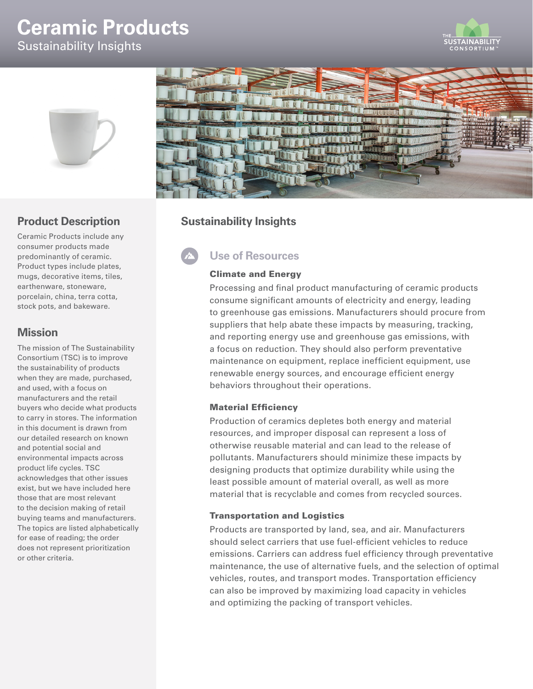# **Ceramic Products**

Sustainability Insights





## **Product Description**

Ceramic Products include any consumer products made predominantly of ceramic. Product types include plates, mugs, decorative items, tiles, earthenware, stoneware, porcelain, china, terra cotta, stock pots, and bakeware.

## **Mission**

The mission of The Sustainability Consortium (TSC) is to improve the sustainability of products when they are made, purchased, and used, with a focus on manufacturers and the retail buyers who decide what products to carry in stores. The information in this document is drawn from our detailed research on known and potential social and environmental impacts across product life cycles. TSC acknowledges that other issues exist, but we have included here those that are most relevant to the decision making of retail buying teams and manufacturers. The topics are listed alphabetically for ease of reading; the order does not represent prioritization or other criteria.



## **Sustainability Insights**

# **Use of Resources**

## Climate and Energy

Processing and final product manufacturing of ceramic products consume significant amounts of electricity and energy, leading to greenhouse gas emissions. Manufacturers should procure from suppliers that help abate these impacts by measuring, tracking, and reporting energy use and greenhouse gas emissions, with a focus on reduction. They should also perform preventative maintenance on equipment, replace inefficient equipment, use renewable energy sources, and encourage efficient energy behaviors throughout their operations.

### Material Efficiency

Production of ceramics depletes both energy and material resources, and improper disposal can represent a loss of otherwise reusable material and can lead to the release of pollutants. Manufacturers should minimize these impacts by designing products that optimize durability while using the least possible amount of material overall, as well as more material that is recyclable and comes from recycled sources.

### Transportation and Logistics

Products are transported by land, sea, and air. Manufacturers should select carriers that use fuel-efficient vehicles to reduce emissions. Carriers can address fuel efficiency through preventative maintenance, the use of alternative fuels, and the selection of optimal vehicles, routes, and transport modes. Transportation efficiency can also be improved by maximizing load capacity in vehicles and optimizing the packing of transport vehicles.